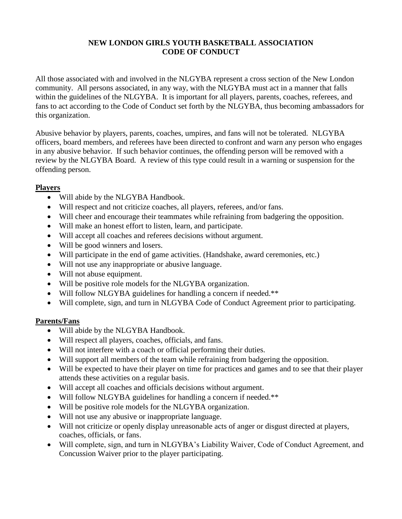# **NEW LONDON GIRLS YOUTH BASKETBALL ASSOCIATION CODE OF CONDUCT**

All those associated with and involved in the NLGYBA represent a cross section of the New London community. All persons associated, in any way, with the NLGYBA must act in a manner that falls within the guidelines of the NLGYBA. It is important for all players, parents, coaches, referees, and fans to act according to the Code of Conduct set forth by the NLGYBA, thus becoming ambassadors for this organization.

Abusive behavior by players, parents, coaches, umpires, and fans will not be tolerated. NLGYBA officers, board members, and referees have been directed to confront and warn any person who engages in any abusive behavior. If such behavior continues, the offending person will be removed with a review by the NLGYBA Board. A review of this type could result in a warning or suspension for the offending person.

#### **Players**

- Will abide by the NLGYBA Handbook.
- Will respect and not criticize coaches, all players, referees, and/or fans.
- Will cheer and encourage their teammates while refraining from badgering the opposition.
- Will make an honest effort to listen, learn, and participate.
- Will accept all coaches and referees decisions without argument.
- Will be good winners and losers.
- Will participate in the end of game activities. (Handshake, award ceremonies, etc.)
- Will not use any inappropriate or abusive language.
- Will not abuse equipment.
- Will be positive role models for the NLGYBA organization.
- Will follow NLGYBA guidelines for handling a concern if needed.\*\*
- Will complete, sign, and turn in NLGYBA Code of Conduct Agreement prior to participating.

# **Parents/Fans**

- Will abide by the NLGYBA Handbook.
- Will respect all players, coaches, officials, and fans.
- Will not interfere with a coach or official performing their duties.
- Will support all members of the team while refraining from badgering the opposition.
- Will be expected to have their player on time for practices and games and to see that their player attends these activities on a regular basis.
- Will accept all coaches and officials decisions without argument.
- Will follow NLGYBA guidelines for handling a concern if needed.\*\*
- Will be positive role models for the NLGYBA organization.
- Will not use any abusive or inappropriate language.
- Will not criticize or openly display unreasonable acts of anger or disgust directed at players, coaches, officials, or fans.
- Will complete, sign, and turn in NLGYBA's Liability Waiver, Code of Conduct Agreement, and Concussion Waiver prior to the player participating.